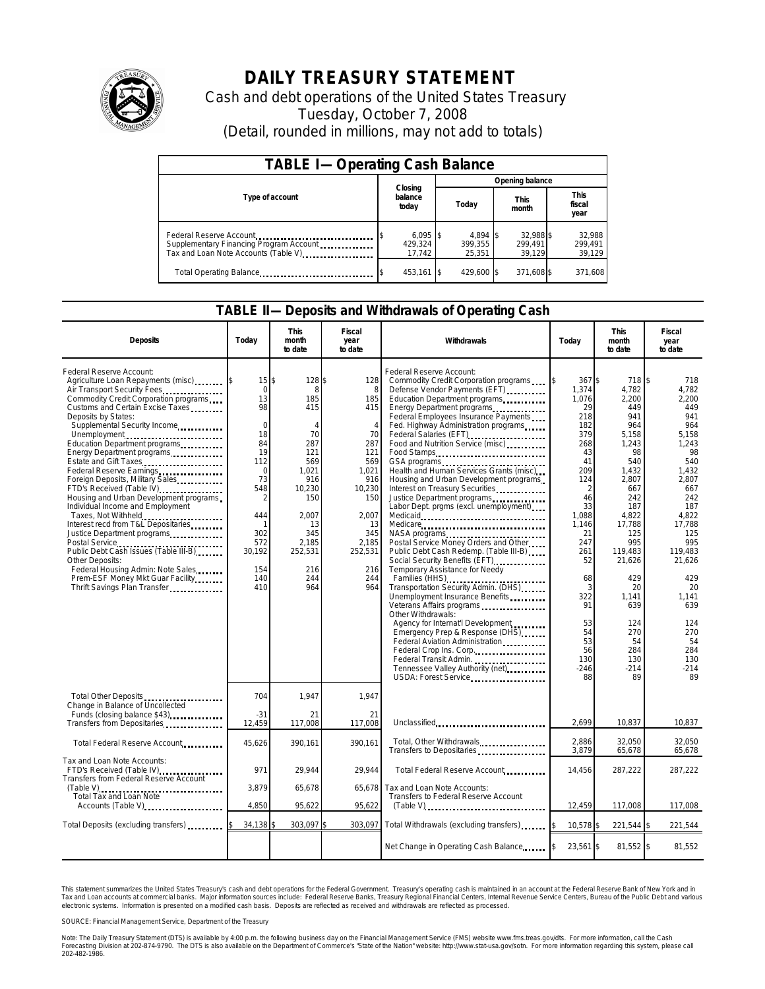

## **DAILY TREASURY STATEMENT**

Cash and debt operations of the United States Treasury Tuesday, October 7, 2008 (Detail, rounded in millions, may not add to totals)

| <b>TABLE I-Operating Cash Balance</b>                                                                      |                             |                                |                                |                               |  |  |  |  |
|------------------------------------------------------------------------------------------------------------|-----------------------------|--------------------------------|--------------------------------|-------------------------------|--|--|--|--|
|                                                                                                            |                             | Opening balance                |                                |                               |  |  |  |  |
| Type of account                                                                                            | Closing<br>balance<br>today | Today                          | <b>This</b><br>month           | <b>This</b><br>fiscal<br>year |  |  |  |  |
| Federal Reserve Account<br>Supplementary Financing Program Account<br>Tax and Loan Note Accounts (Table V) | 429.324<br>17,742           | $4.894$ S<br>399.355<br>25,351 | 32,988 \$<br>299.491<br>39.129 | 32,988<br>299.491<br>39,129   |  |  |  |  |
| Total Operating Balance                                                                                    | 453,161 \$                  | 429,600 \$                     | 371,608 \$                     | 371,608                       |  |  |  |  |

## **TABLE II—Deposits and Withdrawals of Operating Cash**

| <b>Deposits</b>                                                                                                                                                                                                                                                                                                                                                                                                                                                                                                                                                                                                                                                                                                                                                                        | Today                                                                                                                                                                        | <b>This</b><br>month<br>to date                                                                                                                                 | Fiscal<br>year<br>to date                                                                                                                                           | Withdrawals                                                                                                                                                                                                                                                                                                                                                                                                                                                                                                                                                                                                                                                                                                                                                                                                                                                                                                                                                                                                                                          | Today                                                                                                                                                                                                                   | <b>This</b><br>month<br>to date                                                                                                                                                                                                                          | <b>Fiscal</b><br>year<br>to date                                                                                                                                                                                                                      |
|----------------------------------------------------------------------------------------------------------------------------------------------------------------------------------------------------------------------------------------------------------------------------------------------------------------------------------------------------------------------------------------------------------------------------------------------------------------------------------------------------------------------------------------------------------------------------------------------------------------------------------------------------------------------------------------------------------------------------------------------------------------------------------------|------------------------------------------------------------------------------------------------------------------------------------------------------------------------------|-----------------------------------------------------------------------------------------------------------------------------------------------------------------|---------------------------------------------------------------------------------------------------------------------------------------------------------------------|------------------------------------------------------------------------------------------------------------------------------------------------------------------------------------------------------------------------------------------------------------------------------------------------------------------------------------------------------------------------------------------------------------------------------------------------------------------------------------------------------------------------------------------------------------------------------------------------------------------------------------------------------------------------------------------------------------------------------------------------------------------------------------------------------------------------------------------------------------------------------------------------------------------------------------------------------------------------------------------------------------------------------------------------------|-------------------------------------------------------------------------------------------------------------------------------------------------------------------------------------------------------------------------|----------------------------------------------------------------------------------------------------------------------------------------------------------------------------------------------------------------------------------------------------------|-------------------------------------------------------------------------------------------------------------------------------------------------------------------------------------------------------------------------------------------------------|
| Federal Reserve Account:<br>Agriculture Loan Repayments (misc)<br>Air Transport Security Fees<br>Commodity Credit Corporation programs<br>Customs and Certain Excise Taxes<br>Deposits by States:<br>Supplemental Security Income<br>Unemployment<br>Education Department programs<br>Energy Department programs<br>Estate and Gift Taxes<br>Federal Reserve Earnings<br>Foreign Deposits, Military Sales<br>FTD's Received (Table IV)<br>Housing and Urban Development programs<br>Individual Income and Employment<br>Taxes, Not Withheld<br>Interest recd from T&L Depositaries<br>Justice Department programs<br>Public Debt Cash Issues (Table III-B)<br>Other Deposits:<br>Federal Housing Admin: Note Sales<br>Prem-ESF Money Mkt Guar Facility<br>Thrift Savings Plan Transfer | $15$ $\bar{s}$<br>$\mathbf 0$<br>13<br>98<br>$\Omega$<br>18<br>84<br>19<br>112<br>$\Omega$<br>73<br>548<br>$\mathcal{P}$<br>444<br>302<br>572<br>30,192<br>154<br>140<br>410 | 128\$<br>8<br>185<br>415<br>$\Delta$<br>70<br>287<br>121<br>569<br>1.021<br>916<br>10,230<br>150<br>2.007<br>13<br>345<br>2,185<br>252,531<br>216<br>244<br>964 | 128<br>8<br>185<br>415<br>$\overline{4}$<br>70<br>287<br>121<br>569<br>1,021<br>916<br>10,230<br>150<br>2,007<br>13<br>345<br>2,185<br>252,531<br>216<br>244<br>964 | Federal Reserve Account:<br>Commodity Credit Corporation programs<br>Defense Vendor Payments (EFT)<br>Education Department programs<br>Energy Department programs<br>Federal Employees Insurance Payments<br>Fed. Highway Administration programs<br>Federal Salaries (EFT)<br>Food and Nutrition Service (misc)<br>Food Stamps<br>Health and Human Services Grants (misc)<br>Housing and Urban Development programs<br>Interest on Treasury Securities<br>Labor Dept. prgms (excl. unemployment).<br>Medicare<br>Postal Service Money Orders and Other<br>Public Debt Cash Redemp. (Table III-B)<br>Social Security Benefits (EFT)<br>Temporary Assistance for Needy<br>Families (HHS)<br>Transportation Security Admin. (DHS)<br>Unemployment Insurance Benefits<br>Veterans Affairs programs<br>Other Withdrawals:<br>Agency for Internat'l Development<br>Emergency Prep & Response (DHS)<br>Federal Aviation Administration<br>Federal Crop Ins. Corp<br>Federal Transit Admin.<br>Tennessee Valley Authority (net)<br><br>USDA: Forest Service | 367\$<br>1,374<br>1,076<br>29<br>218<br>182<br>379<br>268<br>43<br>41<br>209<br>124<br>2<br>46<br>33<br>1,088<br>1,146<br>21<br>247<br>261<br>52<br>68<br>3<br>322<br>91<br>53<br>54<br>53<br>56<br>130<br>$-246$<br>88 | 718 \$<br>4,782<br>2,200<br>449<br>941<br>964<br>5,158<br>1,243<br>98<br>540<br>1,432<br>2,807<br>667<br>242<br>187<br>4,822<br>17,788<br>125<br>995<br>119,483<br>21,626<br>429<br>20<br>1,141<br>639<br>124<br>270<br>54<br>284<br>130<br>$-214$<br>89 | 718<br>4,782<br>2,200<br>449<br>941<br>964<br>5,158<br>1,243<br>98<br>540<br>1,432<br>2.807<br>667<br>242<br>187<br>4.822<br>17.788<br>125<br>995<br>119,483<br>21,626<br>429<br>20<br>1,141<br>639<br>124<br>270<br>54<br>284<br>130<br>$-214$<br>89 |
| Total Other Deposits<br>Change in Balance of Uncollected<br>Funds (closing balance \$43)<br>Transfers from Depositaries                                                                                                                                                                                                                                                                                                                                                                                                                                                                                                                                                                                                                                                                | 704<br>$-31$<br>12,459                                                                                                                                                       | 1,947<br>21<br>117,008                                                                                                                                          | 1,947<br>21<br>117,008                                                                                                                                              | Unclassified                                                                                                                                                                                                                                                                                                                                                                                                                                                                                                                                                                                                                                                                                                                                                                                                                                                                                                                                                                                                                                         | 2.699                                                                                                                                                                                                                   | 10,837                                                                                                                                                                                                                                                   | 10,837                                                                                                                                                                                                                                                |
| Total Federal Reserve Account                                                                                                                                                                                                                                                                                                                                                                                                                                                                                                                                                                                                                                                                                                                                                          | 45,626                                                                                                                                                                       | 390,161                                                                                                                                                         | 390,161                                                                                                                                                             | Total, Other Withdrawals                                                                                                                                                                                                                                                                                                                                                                                                                                                                                                                                                                                                                                                                                                                                                                                                                                                                                                                                                                                                                             | 2,886<br>3,879                                                                                                                                                                                                          | 32,050<br>65,678                                                                                                                                                                                                                                         | 32,050<br>65,678                                                                                                                                                                                                                                      |
| Tax and Loan Note Accounts:<br>FTD's Received (Table IV)<br><b>Transfers from Federal Reserve Account</b>                                                                                                                                                                                                                                                                                                                                                                                                                                                                                                                                                                                                                                                                              | 971                                                                                                                                                                          | 29.944                                                                                                                                                          | 29.944                                                                                                                                                              | Total Federal Reserve Account                                                                                                                                                                                                                                                                                                                                                                                                                                                                                                                                                                                                                                                                                                                                                                                                                                                                                                                                                                                                                        | 14,456                                                                                                                                                                                                                  | 287,222                                                                                                                                                                                                                                                  | 287,222                                                                                                                                                                                                                                               |
| Total Tax and Loan Note<br>Accounts (Table V)                                                                                                                                                                                                                                                                                                                                                                                                                                                                                                                                                                                                                                                                                                                                          | 3.879<br>4,850                                                                                                                                                               | 65,678<br>95,622                                                                                                                                                | 65,678<br>95,622                                                                                                                                                    | Tax and Loan Note Accounts:<br>Transfers to Federal Reserve Account<br>$(Table V)$                                                                                                                                                                                                                                                                                                                                                                                                                                                                                                                                                                                                                                                                                                                                                                                                                                                                                                                                                                   | 12,459                                                                                                                                                                                                                  | 117,008                                                                                                                                                                                                                                                  | 117,008                                                                                                                                                                                                                                               |
| Total Deposits (excluding transfers)                                                                                                                                                                                                                                                                                                                                                                                                                                                                                                                                                                                                                                                                                                                                                   | 34,138                                                                                                                                                                       | 303,097                                                                                                                                                         | 303.097                                                                                                                                                             | Total Withdrawals (excluding transfers) [\$                                                                                                                                                                                                                                                                                                                                                                                                                                                                                                                                                                                                                                                                                                                                                                                                                                                                                                                                                                                                          | 10,578 \$                                                                                                                                                                                                               | 221,544 \$                                                                                                                                                                                                                                               | 221,544                                                                                                                                                                                                                                               |
|                                                                                                                                                                                                                                                                                                                                                                                                                                                                                                                                                                                                                                                                                                                                                                                        |                                                                                                                                                                              |                                                                                                                                                                 |                                                                                                                                                                     | Net Change in Operating Cash Balance                                                                                                                                                                                                                                                                                                                                                                                                                                                                                                                                                                                                                                                                                                                                                                                                                                                                                                                                                                                                                 | 23,561 \$                                                                                                                                                                                                               | 81,552 \$                                                                                                                                                                                                                                                | 81,552                                                                                                                                                                                                                                                |

This statement summarizes the United States Treasury's cash and debt operations for the Federal Government. Treasury's operating cash is maintained in an account at the Federal Reserve Bank of New York and in<br>Tax and Loan narizes the United States Treasury's cash and debt operations for the Federal Government. Treasury's operating cash is maintained in an account at the Federal Reserv<br>ints at commercial banks. Major information sources incl

SOURCE: Financial Management Service, Department of the Treasury

Note: The Daily Treasury Statement (DTS) is available by 4:00 p.m. the following business day on the Financial Management Service (FMS) website www.fms.treas.gov/dts.<br>Forecasting Division at 202-874-9790. The DTS is also a 'S) is available by 4:00 p.m. the following business day on the Financial Management Service (FMS) website www.fms.treas.gov/dts. For more information, call the Cash<br>The DTS is also available on the Department of Commerce'